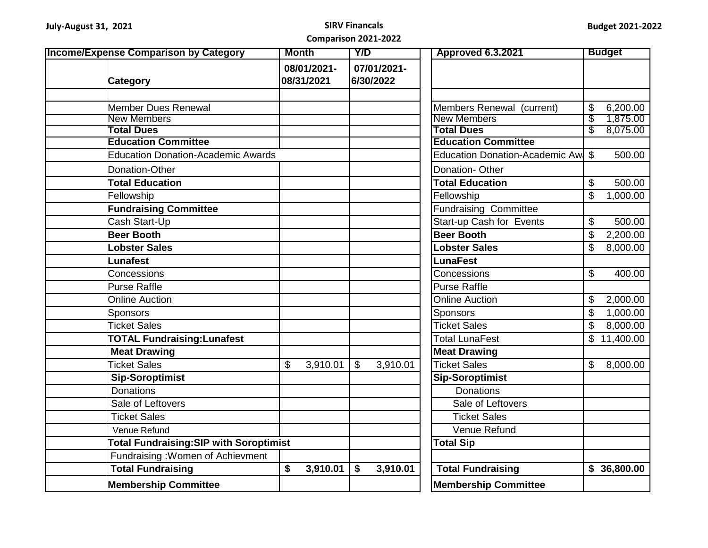| <b>Income/Expense Comparison by Category</b>   | <b>Month</b> |                           | $\overline{Y/D}$        |                          | <b>Approved 6.3.2021</b>                |              | <b>Budget</b>        |
|------------------------------------------------|--------------|---------------------------|-------------------------|--------------------------|-----------------------------------------|--------------|----------------------|
| Category                                       |              | 08/01/2021-<br>08/31/2021 |                         | 07/01/2021-<br>6/30/2022 |                                         |              |                      |
|                                                |              |                           |                         |                          |                                         |              |                      |
| <b>Member Dues Renewal</b>                     |              |                           |                         |                          | Members Renewal (current)               | \$           | 6,200.00             |
| <b>New Members</b><br><b>Total Dues</b>        |              |                           |                         |                          | <b>New Members</b><br><b>Total Dues</b> | \$<br>\$     | 1,875.00<br>8,075.00 |
| <b>Education Committee</b>                     |              |                           |                         |                          | <b>Education Committee</b>              |              |                      |
| <b>Education Donation-Academic Awards</b>      |              |                           |                         |                          | Education Donation-Academic Aw          | \$           | 500.00               |
|                                                |              |                           |                         |                          |                                         |              |                      |
| Donation-Other                                 |              |                           |                         |                          | Donation-Other                          |              |                      |
| <b>Total Education</b>                         |              |                           |                         |                          | <b>Total Education</b>                  | \$           | 500.00               |
| Fellowship                                     |              |                           |                         |                          | Fellowship                              | \$           | 1,000.00             |
| <b>Fundraising Committee</b>                   |              |                           |                         |                          | <b>Fundraising Committee</b>            |              |                      |
| Cash Start-Up                                  |              |                           |                         |                          | Start-up Cash for Events                | \$           | 500.00               |
| <b>Beer Booth</b>                              |              |                           |                         |                          | <b>Beer Booth</b>                       | \$           | 2,200.00             |
| <b>Lobster Sales</b>                           |              |                           |                         |                          | <b>Lobster Sales</b>                    | \$           | 8,000.00             |
| <b>Lunafest</b>                                |              |                           |                         |                          | <b>LunaFest</b>                         |              |                      |
| Concessions                                    |              |                           |                         |                          | Concessions                             | \$           | 400.00               |
| <b>Purse Raffle</b>                            |              |                           |                         |                          | <b>Purse Raffle</b>                     |              |                      |
| <b>Online Auction</b>                          |              |                           |                         |                          | <b>Online Auction</b>                   | \$           | 2,000.00             |
| Sponsors                                       |              |                           |                         |                          | <b>Sponsors</b>                         | \$           | 1,000.00             |
| <b>Ticket Sales</b>                            |              |                           |                         |                          | <b>Ticket Sales</b>                     | \$           | 8,000.00             |
| <b>TOTAL Fundraising: Lunafest</b>             |              |                           |                         |                          | <b>Total LunaFest</b>                   |              | \$11,400.00          |
| <b>Meat Drawing</b>                            |              |                           |                         |                          | <b>Meat Drawing</b>                     |              |                      |
| <b>Ticket Sales</b>                            | \$           | 3,910.01                  | $\sqrt[6]{\frac{1}{2}}$ | 3,910.01                 | <b>Ticket Sales</b>                     | $\mathbb{S}$ | 8,000.00             |
| <b>Sip-Soroptimist</b>                         |              |                           |                         |                          | <b>Sip-Soroptimist</b>                  |              |                      |
| <b>Donations</b>                               |              |                           |                         |                          | <b>Donations</b>                        |              |                      |
| Sale of Leftovers                              |              |                           |                         |                          | Sale of Leftovers                       |              |                      |
| <b>Ticket Sales</b>                            |              |                           |                         |                          | <b>Ticket Sales</b>                     |              |                      |
| Venue Refund                                   |              |                           |                         |                          | Venue Refund                            |              |                      |
| <b>Total Fundraising: SIP with Soroptimist</b> |              |                           |                         |                          | <b>Total Sip</b>                        |              |                      |
| Fundraising : Women of Achievment              |              |                           |                         |                          |                                         |              |                      |
| <b>Total Fundraising</b>                       | \$           | 3,910.01                  | \$                      | 3,910.01                 | <b>Total Fundraising</b>                |              | \$36,800.00          |
| <b>Membership Committee</b>                    |              |                           |                         |                          | <b>Membership Committee</b>             |              |                      |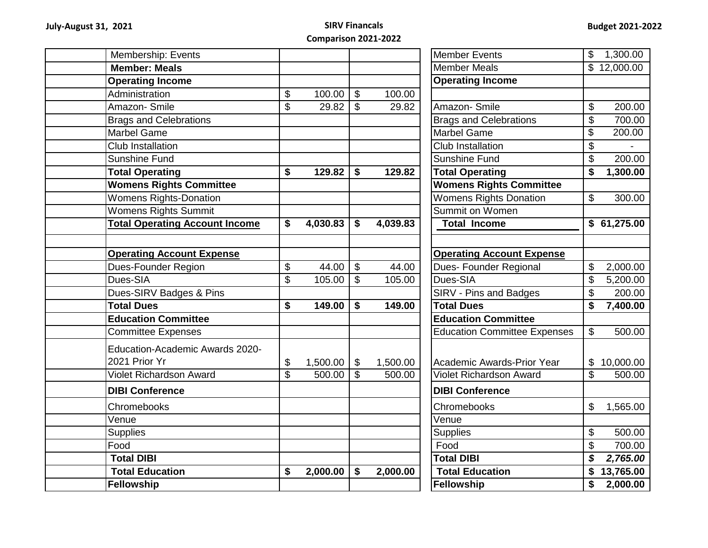| Membership: Events                    |                          |          |                           |          | <b>Member Events</b>                | $\mathsf{\$}$            | 1,300.00    |
|---------------------------------------|--------------------------|----------|---------------------------|----------|-------------------------------------|--------------------------|-------------|
| <b>Member: Meals</b>                  |                          |          |                           |          | <b>Member Meals</b>                 |                          | \$12,000.00 |
| <b>Operating Income</b>               |                          |          |                           |          | <b>Operating Income</b>             |                          |             |
| Administration                        | \$                       | 100.00   | $\mathfrak{S}$            | 100.00   |                                     |                          |             |
| Amazon-Smile                          | $\overline{\$}$          | 29.82    | $\mathcal{L}$             | 29.82    | Amazon-Smile                        | \$                       | 200.00      |
| <b>Brags and Celebrations</b>         |                          |          |                           |          | <b>Brags and Celebrations</b>       | \$                       | 700.00      |
| <b>Marbel Game</b>                    |                          |          |                           |          | Marbel Game                         | \$                       | 200.00      |
| Club Installation                     |                          |          |                           |          | Club Installation                   | \$                       |             |
| Sunshine Fund                         |                          |          |                           |          | <b>Sunshine Fund</b>                | $\overline{\mathcal{G}}$ | 200.00      |
| <b>Total Operating</b>                | \$                       | 129.82   | \$                        | 129.82   | <b>Total Operating</b>              | \$                       | 1,300.00    |
| <b>Womens Rights Committee</b>        |                          |          |                           |          | <b>Womens Rights Committee</b>      |                          |             |
| <b>Womens Rights-Donation</b>         |                          |          |                           |          | <b>Womens Rights Donation</b>       | \$                       | 300.00      |
| <b>Womens Rights Summit</b>           |                          |          |                           |          | Summit on Women                     |                          |             |
| <b>Total Operating Account Income</b> | \$                       | 4,030.83 | \$                        | 4,039.83 | <b>Total Income</b>                 |                          | \$61,275.00 |
|                                       |                          |          |                           |          |                                     |                          |             |
| <b>Operating Account Expense</b>      |                          |          |                           |          | <b>Operating Account Expense</b>    |                          |             |
| Dues-Founder Region                   | \$                       | 44.00    | $\overline{\mathcal{S}}$  | 44.00    | Dues- Founder Regional              | \$                       | 2,000.00    |
| Dues-SIA                              | $\overline{\mathcal{S}}$ | 105.00   | $\mathfrak{S}$            | 105.00   | Dues-SIA                            | \$                       | 5,200.00    |
| Dues-SIRV Badges & Pins               |                          |          |                           |          | SIRV - Pins and Badges              | \$                       | 200.00      |
| <b>Total Dues</b>                     | \$                       | 149.00   | \$                        | 149.00   | <b>Total Dues</b>                   | \$                       | 7,400.00    |
| <b>Education Committee</b>            |                          |          |                           |          | <b>Education Committee</b>          |                          |             |
| <b>Committee Expenses</b>             |                          |          |                           |          | <b>Education Committee Expenses</b> | \$                       | 500.00      |
| Education-Academic Awards 2020-       |                          |          |                           |          |                                     |                          |             |
| 2021 Prior Yr                         | \$                       | 1,500.00 | $\boldsymbol{\mathsf{S}}$ | 1,500.00 | <b>Academic Awards-Prior Year</b>   |                          | \$10,000.00 |
| <b>Violet Richardson Award</b>        | $\overline{\$}$          | 500.00   | $\mathfrak{L}$            | 500.00   | <b>Violet Richardson Award</b>      | \$                       | 500.00      |
| <b>DIBI Conference</b>                |                          |          |                           |          | <b>DIBI Conference</b>              |                          |             |
| Chromebooks                           |                          |          |                           |          | Chromebooks                         | $\$\$                    | 1,565.00    |
| Venue                                 |                          |          |                           |          | Venue                               |                          |             |
| <b>Supplies</b>                       |                          |          |                           |          | <b>Supplies</b>                     | \$                       | 500.00      |
| Food                                  |                          |          |                           |          | Food                                | \$                       | 700.00      |
| <b>Total DIBI</b>                     |                          |          |                           |          | <b>Total DIBI</b>                   | \$                       | 2,765.00    |
| <b>Total Education</b>                | \$                       | 2,000.00 | \$                        | 2,000.00 | <b>Total Education</b>              |                          | \$13,765.00 |
| Fellowship                            |                          |          |                           |          | Fellowship                          | \$                       | 2,000.00    |
|                                       |                          |          |                           |          |                                     |                          |             |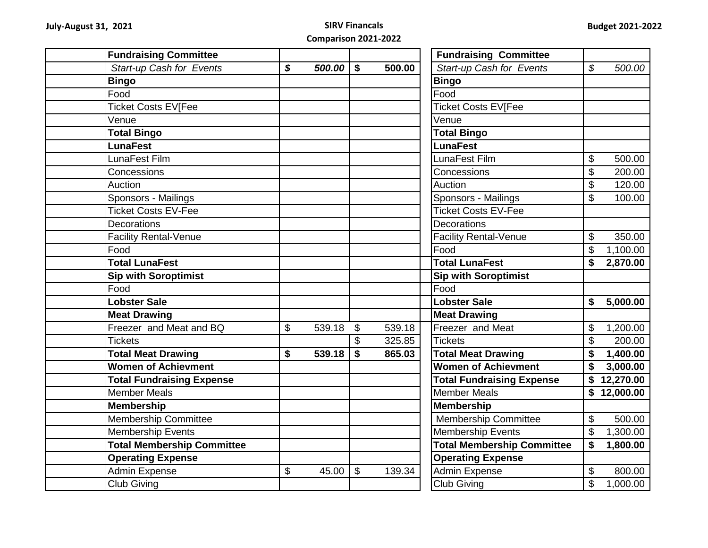| <b>Fundraising Committee</b>      |              |                           |        | <b>Fundraising Committee</b>      |                |
|-----------------------------------|--------------|---------------------------|--------|-----------------------------------|----------------|
| Start-up Cash for Events          | \$<br>500.00 | \$                        | 500.00 | Start-up Cash for Events          | \$<br>500.00   |
| <b>Bingo</b>                      |              |                           |        | <b>Bingo</b>                      |                |
| Food                              |              |                           |        | Food                              |                |
| <b>Ticket Costs EV[Fee</b>        |              |                           |        | <b>Ticket Costs EV[Fee</b>        |                |
| Venue                             |              |                           |        | Venue                             |                |
| <b>Total Bingo</b>                |              |                           |        | <b>Total Bingo</b>                |                |
| <b>LunaFest</b>                   |              |                           |        | <b>LunaFest</b>                   |                |
| LunaFest Film                     |              |                           |        | LunaFest Film                     | \$<br>500.00   |
| Concessions                       |              |                           |        | Concessions                       | \$<br>200.00   |
| Auction                           |              |                           |        | Auction                           | \$<br>120.00   |
| Sponsors - Mailings               |              |                           |        | Sponsors - Mailings               | \$<br>100.00   |
| <b>Ticket Costs EV-Fee</b>        |              |                           |        | <b>Ticket Costs EV-Fee</b>        |                |
| <b>Decorations</b>                |              |                           |        | <b>Decorations</b>                |                |
| <b>Facility Rental-Venue</b>      |              |                           |        | <b>Facility Rental-Venue</b>      | \$<br>350.00   |
| Food                              |              |                           |        | Food                              | \$<br>1,100.00 |
| <b>Total LunaFest</b>             |              |                           |        | <b>Total LunaFest</b>             | \$<br>2,870.00 |
| <b>Sip with Soroptimist</b>       |              |                           |        | <b>Sip with Soroptimist</b>       |                |
| Food                              |              |                           |        | $\overline{Food}$                 |                |
| <b>Lobster Sale</b>               |              |                           |        | <b>Lobster Sale</b>               | \$<br>5,000.00 |
| <b>Meat Drawing</b>               |              |                           |        | <b>Meat Drawing</b>               |                |
| Freezer and Meat and BQ           | \$<br>539.18 | $\boldsymbol{\mathsf{S}}$ | 539.18 | Freezer and Meat                  | \$<br>1,200.00 |
| <b>Tickets</b>                    |              | $\mathfrak{S}$            | 325.85 | <b>Tickets</b>                    | \$<br>200.00   |
| <b>Total Meat Drawing</b>         | \$<br>539.18 | $\boldsymbol{\$}$         | 865.03 | <b>Total Meat Drawing</b>         | \$<br>1,400.00 |
| <b>Women of Achievment</b>        |              |                           |        | <b>Women of Achievment</b>        | \$<br>3,000.00 |
| <b>Total Fundraising Expense</b>  |              |                           |        | <b>Total Fundraising Expense</b>  | \$12,270.00    |
| Member Meals                      |              |                           |        | <b>Member Meals</b>               | 12,000.00      |
| <b>Membership</b>                 |              |                           |        | <b>Membership</b>                 |                |
| <b>Membership Committee</b>       |              |                           |        | <b>Membership Committee</b>       | \$<br>500.00   |
| <b>Membership Events</b>          |              |                           |        | Membership Events                 | \$<br>1,300.00 |
| <b>Total Membership Committee</b> |              |                           |        | <b>Total Membership Committee</b> | \$<br>1,800.00 |
| <b>Operating Expense</b>          |              |                           |        | <b>Operating Expense</b>          |                |
| <b>Admin Expense</b>              | \$<br>45.00  | $\sqrt[6]{\frac{1}{2}}$   | 139.34 | <b>Admin Expense</b>              | \$<br>800.00   |
| <b>Club Giving</b>                |              |                           |        | <b>Club Giving</b>                | \$<br>1,000.00 |